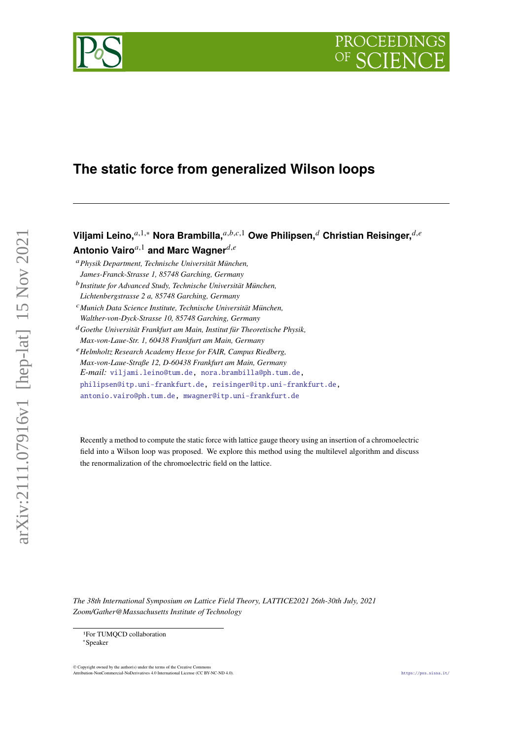# PROCEEDIN



## **The static force from generalized Wilson loops**

**Viljami Leino,**<sup>*a*,1,∗</sup> Nora Brambilla,<sup>*a,b,c,*1</sup> Owe Philipsen,<sup>*d*</sup> Christian Reisinger,<sup>*d,e*</sup> **Antonio Vairo**<sup>*a*,1</sup> **and Marc Wagner**<sup>*d,e*</sup>

*Physik Department, Technische Universität München, James-Franck-Strasse 1, 85748 Garching, Germany*

 *Institute for Advanced Study, Technische Universität München, Lichtenbergstrasse 2 a, 85748 Garching, Germany*

*Munich Data Science Institute, Technische Universität München,*

*Walther-von-Dyck-Strasse 10, 85748 Garching, Germany*

*Goethe Universität Frankfurt am Main, Institut für Theoretische Physik,*

*Max-von-Laue-Str. 1, 60438 Frankfurt am Main, Germany*

*Helmholtz Research Academy Hesse for FAIR, Campus Riedberg,*

*Max-von-Laue-Straße 12, D-60438 Frankfurt am Main, Germany*

*E-mail:* [viljami.leino@tum.de,](mailto:viljami.leino@tum.de) [nora.brambilla@ph.tum.de,](mailto:nora.brambilla@ph.tum.de)

[philipsen@itp.uni-frankfurt.de,](mailto:philipsen@itp.uni-frankfurt.de) [reisinger@itp.uni-frankfurt.de,](mailto:reisinger@itp.uni-frankfurt.de)

[antonio.vairo@ph.tum.de,](mailto:antonio.vairo@ph.tum.de) [mwagner@itp.uni-frankfurt.de](mailto:mwagner@itp.uni-frankfurt.de)

Recently a method to compute the static force with lattice gauge theory using an insertion of a chromoelectric field into a Wilson loop was proposed. We explore this method using the multilevel algorithm and discuss the renormalization of the chromoelectric field on the lattice.

*The 38th International Symposium on Lattice Field Theory, LATTICE2021 26th-30th July, 2021 Zoom/Gather@Massachusetts Institute of Technology*

1For TUMQCD collaboration ∗Speaker

 $\copyright$  Copyright owned by the author(s) under the terms of the Creative Common Attribution-Noncommercial-NoDerivatives 4.0 International License (CC BY-NC-ND 4.0). <https://pos.sissa.it/>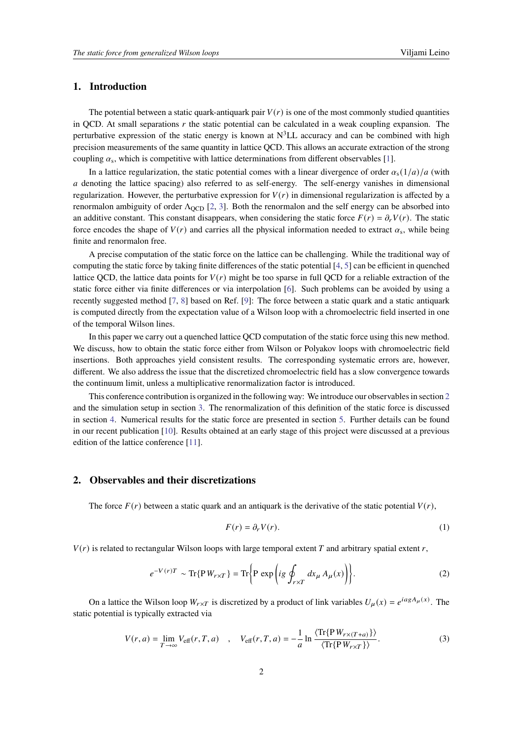#### **1. Introduction**

The potential between a static quark-antiquark pair  $V(r)$  is one of the most commonly studied quantities in QCD. At small separations  $r$  the static potential can be calculated in a weak coupling expansion. The perturbative expression of the static energy is known at  $N^3LL$  accuracy and can be combined with high precision measurements of the same quantity in lattice QCD. This allows an accurate extraction of the strong coupling  $\alpha_s$ , which is competitive with lattice determinations from different observables [\[1\]](#page-5-0).

In a lattice regularization, the static potential comes with a linear divergence of order  $\alpha_s(1/a)/a$  (with denoting the lattice spacing) also referred to as self-energy. The self-energy vanishes in dimensional regularization. However, the perturbative expression for  $V(r)$  in dimensional regularization is affected by a renormalon ambiguity of order  $\Lambda_{\text{QCD}}$  [\[2,](#page-5-1) [3\]](#page-5-2). Both the renormalon and the self energy can be absorbed into an additive constant. This constant disappears, when considering the static force  $F(r) = \partial_r V(r)$ . The static force encodes the shape of  $V(r)$  and carries all the physical information needed to extract  $\alpha_s$ , while being finite and renormalon free.

A precise computation of the static force on the lattice can be challenging. While the traditional way of computing the static force by taking finite differences of the static potential [\[4,](#page-5-3) [5\]](#page-5-4) can be efficient in quenched lattice QCD, the lattice data points for  $V(r)$  might be too sparse in full QCD for a reliable extraction of the static force either via finite differences or via interpolation [\[6\]](#page-5-5). Such problems can be avoided by using a recently suggested method [\[7,](#page-6-0) [8\]](#page-6-1) based on Ref. [\[9\]](#page-6-2): The force between a static quark and a static antiquark is computed directly from the expectation value of a Wilson loop with a chromoelectric field inserted in one of the temporal Wilson lines.

In this paper we carry out a quenched lattice QCD computation of the static force using this new method. We discuss, how to obtain the static force either from Wilson or Polyakov loops with chromoelectric field insertions. Both approaches yield consistent results. The corresponding systematic errors are, however, different. We also address the issue that the discretized chromoelectric field has a slow convergence towards the continuum limit, unless a multiplicative renormalization factor is introduced.

This conference contribution is organized in the following way: We introduce our observables in section [2](#page-1-0) and the simulation setup in section [3.](#page-3-0) The renormalization of this definition of the static force is discussed in section [4.](#page-3-1) Numerical results for the static force are presented in section [5.](#page-4-0) Further details can be found in our recent publication [\[10\]](#page-6-3). Results obtained at an early stage of this project were discussed at a previous edition of the lattice conference [\[11\]](#page-6-4).

#### <span id="page-1-0"></span>**2. Observables and their discretizations**

The force  $F(r)$  between a static quark and an antiquark is the derivative of the static potential  $V(r)$ ,

$$
F(r) = \partial_r V(r). \tag{1}
$$

 $V(r)$  is related to rectangular Wilson loops with large temporal extent T and arbitrary spatial extent r,

$$
e^{-V(r)T} \sim \text{Tr}\{\mathbf{P}W_{r\times T}\} = \text{Tr}\left\{\mathbf{P} \exp\left(ig \oint_{r\times T} dx_{\mu} A_{\mu}(x)\right)\right\}.
$$
 (2)

On a lattice the Wilson loop  $W_{r \times T}$  is discretized by a product of link variables  $U_{\mu}(x) = e^{i a g A_{\mu}(x)}$ . The static potential is typically extracted via

$$
V(r,a) = \lim_{T \to \infty} V_{\text{eff}}(r,T,a) \quad , \quad V_{\text{eff}}(r,T,a) = -\frac{1}{a} \ln \frac{\langle \text{Tr}\{PW_{r \times (T+a)}\}\rangle}{\langle \text{Tr}\{PW_{r \times T}\}\rangle}.
$$
 (3)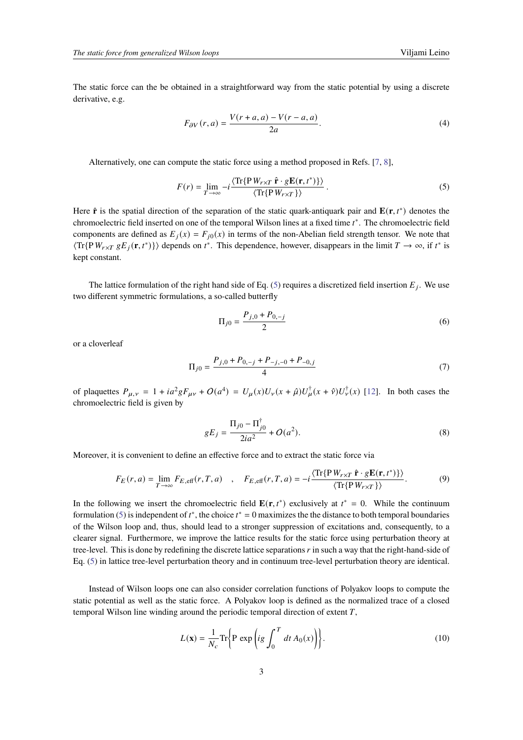The static force can the be obtained in a straightforward way from the static potential by using a discrete derivative, e.g.

<span id="page-2-2"></span>
$$
F_{\partial V}(r,a) = \frac{V(r+a,a) - V(r-a,a)}{2a}.\tag{4}
$$

Alternatively, one can compute the static force using a method proposed in Refs. [\[7,](#page-6-0) [8\]](#page-6-1),

<span id="page-2-0"></span>
$$
F(r) = \lim_{T \to \infty} -i \frac{\langle \text{Tr}\{P \, W_{r \times T} \, \hat{\mathbf{r}} \cdot g \mathbf{E}(\mathbf{r}, t^*)\} \rangle}{\langle \text{Tr}\{P \, W_{r \times T} \} \rangle}.
$$
 (5)

Here  $\hat{\mathbf{r}}$  is the spatial direction of the separation of the static quark-antiquark pair and  $\mathbf{E}(\mathbf{r}, t^*)$  denotes the chromoelectric field inserted on one of the temporal Wilson lines at a fixed time  $t^*$ . The chromoelectric field components are defined as  $E_j(x) = F_{j0}(x)$  in terms of the non-Abelian field strength tensor. We note that  $\langle \text{Tr}\{\text{P} W_{r \times T} g E_j(\mathbf{r}, t^*)\} \rangle$  depends on  $t^*$ . This dependence, however, disappears in the limit  $T \to \infty$ , if  $t^*$  is kept constant.

The lattice formulation of the right hand side of Eq. [\(5\)](#page-2-0) requires a discretized field insertion  $E_i$ . We use two different symmetric formulations, a so-called butterfly

$$
\Pi_{j0} = \frac{P_{j,0} + P_{0,-j}}{2} \tag{6}
$$

or a cloverleaf

$$
\Pi_{j0} = \frac{P_{j,0} + P_{0,-j} + P_{-j,-0} + P_{-0,j}}{4} \tag{7}
$$

of plaquettes  $P_{\mu,\nu} = 1 + ia^2 g F_{\mu\nu} + O(a^4) = U_{\mu}(x)U_{\nu}(x+\hat{\mu})U_{\mu}^{\dagger}(x+\hat{\nu})U_{\nu}^{\dagger}(x)$  [\[12\]](#page-6-5). In both cases the chromoelectric field is given by

$$
gE_j = \frac{\Pi_{j0} - \Pi_{j0}^{\dagger}}{2ia^2} + O(a^2).
$$
 (8)

Moreover, it is convenient to define an effective force and to extract the static force via

<span id="page-2-1"></span>
$$
F_E(r, a) = \lim_{T \to \infty} F_{E, \text{eff}}(r, T, a) \quad , \quad F_{E, \text{eff}}(r, T, a) = -i \frac{\langle \text{Tr}\{P W_{r \times T} \hat{\mathbf{r}} \cdot g \mathbf{E}(\mathbf{r}, t^*)\} \rangle}{\langle \text{Tr}\{P W_{r \times T}\} \rangle}.
$$
 (9)

In the following we insert the chromoelectric field  $\mathbf{E}(\mathbf{r}, t^*)$  exclusively at  $t^* = 0$ . While the continuum formulation [\(5\)](#page-2-0) is independent of  $t^*$ , the choice  $t^* = 0$  maximizes the the distance to both temporal boundaries of the Wilson loop and, thus, should lead to a stronger suppression of excitations and, consequently, to a clearer signal. Furthermore, we improve the lattice results for the static force using perturbation theory at tree-level. This is done by redefining the discrete lattice separations  $\dot{r}$  in such a way that the right-hand-side of Eq. [\(5\)](#page-2-0) in lattice tree-level perturbation theory and in continuum tree-level perturbation theory are identical.

Instead of Wilson loops one can also consider correlation functions of Polyakov loops to compute the static potential as well as the static force. A Polyakov loop is defined as the normalized trace of a closed temporal Wilson line winding around the periodic temporal direction of extent  $T$ .

$$
L(\mathbf{x}) = \frac{1}{N_c} \text{Tr} \left\{ \mathbf{P} \exp \left( ig \int_0^T dt A_0(x) \right) \right\}.
$$
 (10)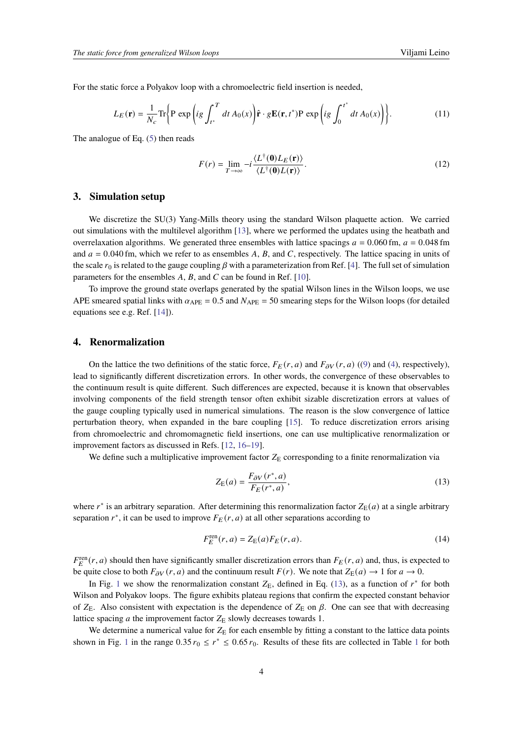For the static force a Polyakov loop with a chromoelectric field insertion is needed,

$$
L_E(\mathbf{r}) = \frac{1}{N_c} \text{Tr} \left\{ \mathbf{P} \exp \left( ig \int_{t^*}^T dt \, A_0(x) \right) \hat{\mathbf{r}} \cdot g \mathbf{E}(\mathbf{r}, t^*) \mathbf{P} \exp \left( ig \int_0^{t^*} dt \, A_0(x) \right) \right\}.
$$
 (11)

The analogue of Eq. [\(5\)](#page-2-0) then reads

$$
F(r) = \lim_{T \to \infty} -i \frac{\langle L^{\dagger}(\mathbf{0}) L_E(\mathbf{r}) \rangle}{\langle L^{\dagger}(\mathbf{0}) L(\mathbf{r}) \rangle}.
$$
 (12)

#### <span id="page-3-0"></span>**3. Simulation setup**

We discretize the SU(3) Yang-Mills theory using the standard Wilson plaquette action. We carried out simulations with the multilevel algorithm [\[13\]](#page-6-6), where we performed the updates using the heatbath and overrelaxation algorithms. We generated three ensembles with lattice spacings  $a = 0.060$  fm,  $a = 0.048$  fm and  $a = 0.040$  fm, which we refer to as ensembles A, B, and C, respectively. The lattice spacing in units of the scale  $r_0$  is related to the gauge coupling  $\beta$  with a parameterization from Ref. [\[4\]](#page-5-3). The full set of simulation parameters for the ensembles  $A$ ,  $B$ , and  $C$  can be found in Ref. [\[10\]](#page-6-3).

To improve the ground state overlaps generated by the spatial Wilson lines in the Wilson loops, we use APE smeared spatial links with  $\alpha_{APE} = 0.5$  and  $N_{APE} = 50$  smearing steps for the Wilson loops (for detailed equations see e.g. Ref. [\[14\]](#page-6-7)).

#### <span id="page-3-1"></span>**4. Renormalization**

On the lattice the two definitions of the static force,  $F_F(r, a)$  and  $F_{\partial V}(r, a)$  ([\(9\)](#page-2-1) and [\(4\)](#page-2-2), respectively), lead to significantly different discretization errors. In other words, the convergence of these observables to the continuum result is quite different. Such differences are expected, because it is known that observables involving components of the field strength tensor often exhibit sizable discretization errors at values of the gauge coupling typically used in numerical simulations. The reason is the slow convergence of lattice perturbation theory, when expanded in the bare coupling [\[15\]](#page-6-8). To reduce discretization errors arising from chromoelectric and chromomagnetic field insertions, one can use multiplicative renormalization or improvement factors as discussed in Refs. [\[12,](#page-6-5) [16](#page-6-9)[–19\]](#page-6-10).

We define such a multiplicative improvement factor  $Z_F$  corresponding to a finite renormalization via

<span id="page-3-2"></span>
$$
Z_{\mathcal{E}}(a) = \frac{F_{\partial V}(r^*, a)}{F_E(r^*, a)},\tag{13}
$$

where  $r^*$  is an arbitrary separation. After determining this renormalization factor  $Z_E(a)$  at a single arbitrary separation  $r^*$ , it can be used to improve  $F_E(r, a)$  at all other separations according to

$$
F_E^{\text{ren}}(r,a) = Z_{\text{E}}(a)F_E(r,a). \tag{14}
$$

 $F_E^{\text{ren}}(r, a)$  should then have significantly smaller discretization errors than  $F_E(r, a)$  and, thus, is expected to be quite close to both  $F_{\partial V}(r, a)$  and the continuum result  $F(r)$ . We note that  $Z_{E}(a) \rightarrow 1$  for  $a \rightarrow 0$ .

In Fig. [1](#page-4-1) we show the renormalization constant  $Z_{\rm E}$ , defined in Eq. [\(13\)](#page-3-2), as a function of  $r^*$  for both Wilson and Polyakov loops. The figure exhibits plateau regions that confirm the expected constant behavior of  $Z_E$ . Also consistent with expectation is the dependence of  $Z_E$  on  $\beta$ . One can see that with decreasing lattice spacing  $a$  the improvement factor  $Z_E$  slowly decreases towards 1.

We determine a numerical value for  $Z<sub>E</sub>$  for each ensemble by fitting a constant to the lattice data points shown in Fig. [1](#page-4-2) in the range  $0.35 r_0 \le r^* \le 0.65 r_0$ . Results of these fits are collected in Table 1 for both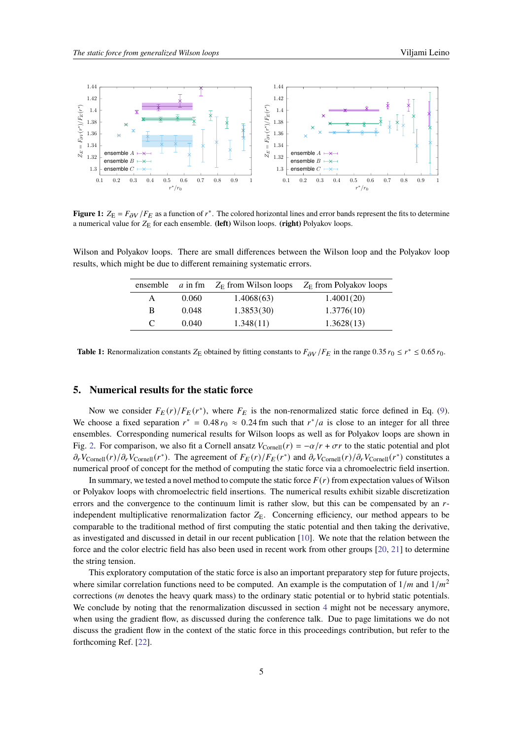<span id="page-4-1"></span>

**Figure 1:**  $Z_E = F_{\partial V}/F_E$  as a function of  $r^*$ . The colored horizontal lines and error bands represent the fits to determine a numerical value for  $Z_E$  for each ensemble. (left) Wilson loops. (right) Polyakov loops.

<span id="page-4-2"></span>Wilson and Polyakov loops. There are small differences between the Wilson loop and the Polyakov loop results, which might be due to different remaining systematic errors.

|   |       | ensemble $a$ in fm $Z_F$ from Wilson loops | $Z_{\rm E}$ from Polyakov loops |
|---|-------|--------------------------------------------|---------------------------------|
| A | 0.060 | 1.4068(63)                                 | 1.4001(20)                      |
| B | 0.048 | 1.3853(30)                                 | 1.3776(10)                      |
| C | 0.040 | 1.348(11)                                  | 1.3628(13)                      |

**Table 1:** Renormalization constants  $Z_E$  obtained by fitting constants to  $F_{\partial V}/F_E$  in the range 0.35  $r_0 \le r^* \le 0.65 r_0$ .

### <span id="page-4-0"></span>**5. Numerical results for the static force**

Now we consider  $F_E(r)/F_E(r^*)$ , where  $F_E$  is the non-renormalized static force defined in Eq. [\(9\)](#page-2-1). We choose a fixed separation  $r^* = 0.48 r_0 \approx 0.24$  fm such that  $r^* / a$  is close to an integer for all three ensembles. Corresponding numerical results for Wilson loops as well as for Polyakov loops are shown in Fig. [2.](#page-5-6) For comparison, we also fit a Cornell ansatz  $V_{\text{Cornell}}(r) = -\alpha/r + \sigma r$  to the static potential and plot  $\partial_r V_{\text{Cornell}}(r) / \partial_r V_{\text{Cornell}}(r^*)$ . The agreement of  $F_E(r) / F_E(r^*)$  and  $\partial_r V_{\text{Cornell}}(r) / \partial_r V_{\text{Cornell}}(r^*)$  constitutes a numerical proof of concept for the method of computing the static force via a chromoelectric field insertion.

In summary, we tested a novel method to compute the static force  $F(r)$  from expectation values of Wilson or Polyakov loops with chromoelectric field insertions. The numerical results exhibit sizable discretization errors and the convergence to the continuum limit is rather slow, but this can be compensated by an  $r$ independent multiplicative renormalization factor  $Z_E$ . Concerning efficiency, our method appears to be comparable to the traditional method of first computing the static potential and then taking the derivative, as investigated and discussed in detail in our recent publication [\[10\]](#page-6-3). We note that the relation between the force and the color electric field has also been used in recent work from other groups [\[20,](#page-6-11) [21\]](#page-6-12) to determine the string tension.

This exploratory computation of the static force is also an important preparatory step for future projects, where similar correlation functions need to be computed. An example is the computation of  $1/m$  and  $1/m<sup>2</sup>$ corrections ( *denotes the heavy quark mass) to the ordinary static potential or to hybrid static potentials.* We conclude by noting that the renormalization discussed in section [4](#page-3-1) might not be necessary anymore, when using the gradient flow, as discussed during the conference talk. Due to page limitations we do not discuss the gradient flow in the context of the static force in this proceedings contribution, but refer to the forthcoming Ref. [\[22\]](#page-6-13).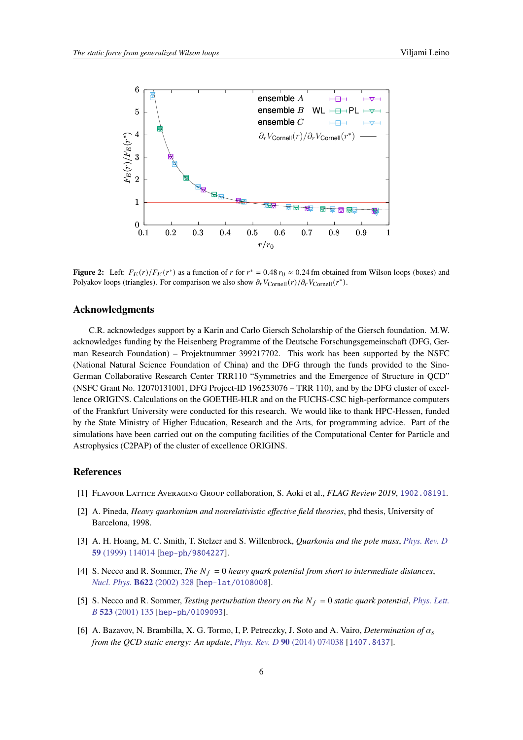<span id="page-5-6"></span>

**Figure 2:** Left:  $F_E(r)/F_E(r^*)$  as a function of r for  $r^* = 0.48 r_0 \approx 0.24$  fm obtained from Wilson loops (boxes) and Polyakov loops (triangles). For comparison we also show  $\partial_r V_{\text{Cornell}}(r)/\partial_r V_{\text{Cornell}}(r^*)$ .

#### **Acknowledgments**

C.R. acknowledges support by a Karin and Carlo Giersch Scholarship of the Giersch foundation. M.W. acknowledges funding by the Heisenberg Programme of the Deutsche Forschungsgemeinschaft (DFG, German Research Foundation) – Projektnummer 399217702. This work has been supported by the NSFC (National Natural Science Foundation of China) and the DFG through the funds provided to the Sino-German Collaborative Research Center TRR110 "Symmetries and the Emergence of Structure in QCD" (NSFC Grant No. 12070131001, DFG Project-ID 196253076 – TRR 110), and by the DFG cluster of excellence ORIGINS. Calculations on the GOETHE-HLR and on the FUCHS-CSC high-performance computers of the Frankfurt University were conducted for this research. We would like to thank HPC-Hessen, funded by the State Ministry of Higher Education, Research and the Arts, for programming advice. Part of the simulations have been carried out on the computing facilities of the Computational Center for Particle and Astrophysics (C2PAP) of the cluster of excellence ORIGINS.

#### **References**

- <span id="page-5-0"></span>[1] Flavour Lattice Averaging Group collaboration, S. Aoki et al., *FLAG Review 2019*, [1902.08191](https://arxiv.org/abs/1902.08191).
- <span id="page-5-1"></span>[2] A. Pineda, *Heavy quarkonium and nonrelativistic effective field theories*, phd thesis, University of Barcelona, 1998.
- <span id="page-5-2"></span>[3] A. H. Hoang, M. C. Smith, T. Stelzer and S. Willenbrock, *Quarkonia and the pole mass*, *[Phys. Rev. D](https://doi.org/10.1103/PhysRevD.59.114014)* **59** [\(1999\) 114014](https://doi.org/10.1103/PhysRevD.59.114014) [[hep-ph/9804227](https://arxiv.org/abs/hep-ph/9804227)].
- <span id="page-5-3"></span>[4] S. Necco and R. Sommer, *The*  $N_f = 0$  *heavy quark potential from short to intermediate distances*, *[Nucl. Phys.](https://doi.org/10.1016/S0550-3213(01)00582-X)* **B622** (2002) 328 [[hep-lat/0108008](https://arxiv.org/abs/hep-lat/0108008)].
- <span id="page-5-4"></span>[5] S. Necco and R. Sommer, *Testing perturbation theory on the*  $N_f = 0$  *static quark potential*, *[Phys. Lett.](https://doi.org/10.1016/S0370-2693(01)01298-9) B* **523** [\(2001\) 135](https://doi.org/10.1016/S0370-2693(01)01298-9) [[hep-ph/0109093](https://arxiv.org/abs/hep-ph/0109093)].
- <span id="page-5-5"></span>[6] A. Bazavov, N. Brambilla, X. G. Tormo, I, P. Petreczky, J. Soto and A. Vairo, *Determination of*  $\alpha_s$ *from the QCD static energy: An update*, *[Phys. Rev. D](https://doi.org/10.1103/PhysRevD.90.074038)* **90** (2014) 074038 [[1407.8437](https://arxiv.org/abs/1407.8437)].